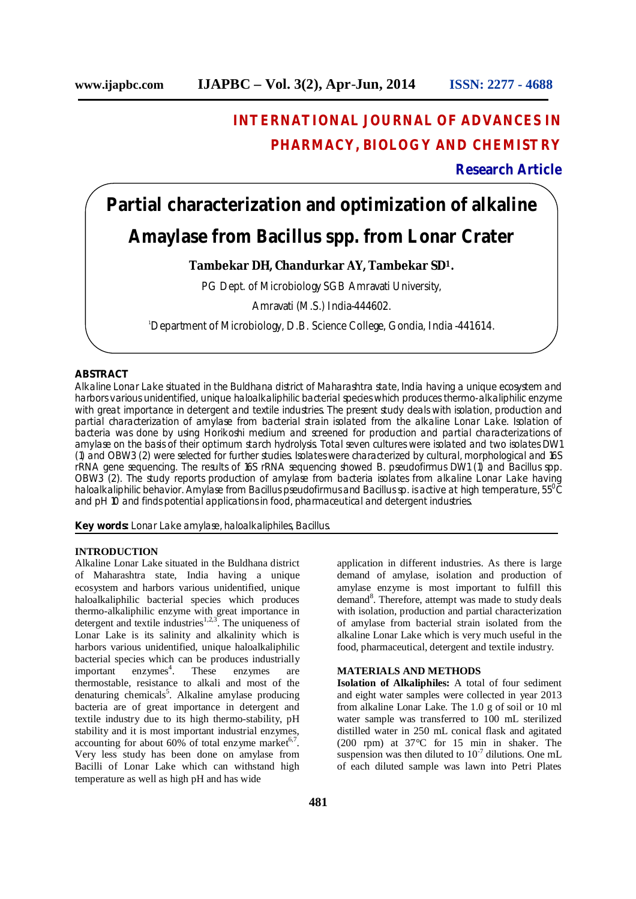# **INTERNATIONAL JOURNAL OF ADVANCES IN PHARMACY, BIOLOGY AND CHEMISTRY**

# **Research Article**

# **Partial characterization and optimization of alkaline Amaylase from Bacillus** *spp.* **from Lonar Crater**

# **Tambekar DH, Chandurkar AY, Tambekar SD1.**

PG Dept. of Microbiology SGB Amravati University,

Amravati (M.S.) India-444602.

1Department of Microbiology, D.B. Science College, Gondia, India -441614.

#### **ABSTRACT**

Alkaline Lonar Lake situated in the Buldhana district of Maharashtra state, India having a unique ecosystem and harbors various unidentified, unique haloalkaliphilic bacterial species which produces thermo-alkaliphilic enzyme with great importance in detergent and textile industries. The present study deals with isolation, production and partial characterization of amylase from bacterial strain isolated from the alkaline Lonar Lake. Isolation of bacteria was done by using Horikoshi medium and screened for production and partial characterizations of amylase on the basis of their optimum starch hydrolysis. Total seven cultures were isolated and two isolates DW1 (1) and OBW3 (2) were selected for further studies. Isolates were characterized by cultural, morphological and 16S rRNA gene sequencing. The results of 16S rRNA sequencing showed *B. pseudofirmus* DW1 (1) and *Bacillus* spp. OBW3 (2). The study reports production of amylase from bacteria isolates from alkaline Lonar Lake having haloalkaliphilic behavior. Amylase from *Bacillus pseudofirmus* and *Bacillus sp.* is active at high temperature, 55<sup>0</sup>C and pH 10 and finds potential applications in food, pharmaceutical and detergent industries.

**Key words:** Lonar Lake amylase, haloalkaliphiles, *Bacillus*.

#### **INTRODUCTION**

Alkaline Lonar Lake situated in the Buldhana district of Maharashtra state, India having a unique ecosystem and harbors various unidentified, unique haloalkaliphilic bacterial species which produces thermo-alkaliphilic enzyme with great importance in detergent and textile industries<sup>1,2,3</sup>. The uniqueness of Lonar Lake is its salinity and alkalinity which is harbors various unidentified, unique haloalkaliphilic bacterial species which can be produces industrially  $important$  enzymes<sup>4</sup>. . These enzymes are thermostable, resistance to alkali and most of the denaturing chemicals<sup>5</sup>. Alkaline amylase producing bacteria are of great importance in detergent and textile industry due to its high thermo-stability, pH stability and it is most important industrial enzymes, accounting for about  $60\%$  of total enzyme market<sup>6,7</sup>. Very less study has been done on amylase from Bacilli of Lonar Lake which can withstand high temperature as well as high pH and has wide

application in different industries. As there is large demand of amylase, isolation and production of amylase enzyme is most important to fulfill this demand<sup>8</sup>. Therefore, attempt was made to study deals with isolation, production and partial characterization of amylase from bacterial strain isolated from the alkaline Lonar Lake which is very much useful in the food, pharmaceutical, detergent and textile industry.

#### **MATERIALS AND METHODS**

**Isolation of Alkaliphiles:** A total of four sediment and eight water samples were collected in year 2013 from alkaline Lonar Lake. The 1.0 g of soil or 10 ml water sample was transferred to 100 mL sterilized distilled water in 250 mL conical flask and agitated (200 rpm) at 37°C for 15 min in shaker. The suspension was then diluted to  $10^{-7}$  dilutions. One mL of each diluted sample was lawn into Petri Plates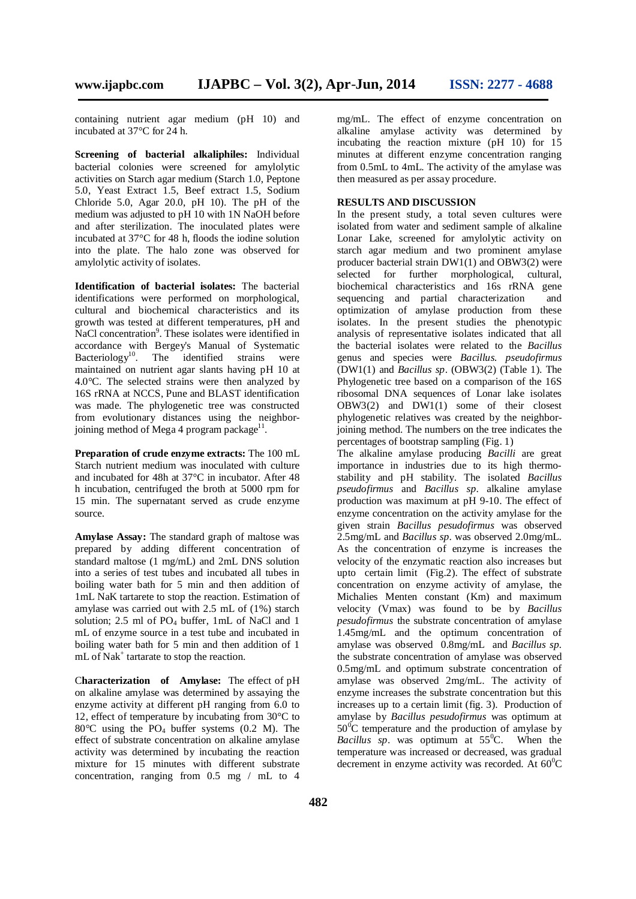containing nutrient agar medium (pH 10) and incubated at 37°C for 24 h.

**Screening of bacterial alkaliphiles:** Individual bacterial colonies were screened for amylolytic activities on Starch agar medium (Starch 1.0, Peptone 5.0, Yeast Extract 1.5, Beef extract 1.5, Sodium Chloride 5.0, Agar 20.0, pH 10). The pH of the medium was adjusted to pH 10 with 1N NaOH before and after sterilization. The inoculated plates were incubated at 37°C for 48 h, floods the iodine solution into the plate. The halo zone was observed for amylolytic activity of isolates.

**Identification of bacterial isolates:** The bacterial identifications were performed on morphological, cultural and biochemical characteristics and its growth was tested at different temperatures, pH and NaCl concentration<sup>9</sup>. These isolates were identified in accordance with Bergey's Manual of Systematic Bacteriology<sup>10</sup>. The identified strains were maintained on nutrient agar slants having pH 10 at 4.0°C. The selected strains were then analyzed by 16S rRNA at NCCS, Pune and BLAST identification was made. The phylogenetic tree was constructed from evolutionary distances using the neighborjoining method of Mega 4 program package<sup>11</sup>.

**Preparation of crude enzyme extracts:** The 100 mL Starch nutrient medium was inoculated with culture and incubated for 48h at 37°C in incubator. After 48 h incubation, centrifuged the broth at 5000 rpm for 15 min. The supernatant served as crude enzyme source.

**Amylase Assay:** The standard graph of maltose was prepared by adding different concentration of standard maltose (1 mg/mL) and 2mL DNS solution into a series of test tubes and incubated all tubes in boiling water bath for 5 min and then addition of 1mL NaK tartarete to stop the reaction. Estimation of amylase was carried out with 2.5 mL of (1%) starch solution;  $2.5$  ml of PO<sub>4</sub> buffer, 1mL of NaCl and 1 mL of enzyme source in a test tube and incubated in boiling water bath for 5 min and then addition of 1 mL of Nak<sup>+</sup> tartarate to stop the reaction.

C**haracterization of Amylase:** The effect of pH on alkaline amylase was determined by assaying the enzyme activity at different pH ranging from 6.0 to 12, effect of temperature by incubating from 30°C to 80 $\degree$ C using the PO<sub>4</sub> buffer systems (0.2 M). The effect of substrate concentration on alkaline amylase activity was determined by incubating the reaction mixture for 15 minutes with different substrate concentration, ranging from 0.5 mg / mL to 4

mg/mL. The effect of enzyme concentration on alkaline amylase activity was determined by incubating the reaction mixture (pH 10) for 15 minutes at different enzyme concentration ranging from 0.5mL to 4mL. The activity of the amylase was then measured as per assay procedure.

#### **RESULTS AND DISCUSSION**

In the present study, a total seven cultures were isolated from water and sediment sample of alkaline Lonar Lake, screened for amylolytic activity on starch agar medium and two prominent amylase producer bacterial strain DW1(1) and OBW3(2) were selected for further morphological, cultural, biochemical characteristics and 16s rRNA gene sequencing and partial characterization and optimization of amylase production from these isolates. In the present studies the phenotypic analysis of representative isolates indicated that all the bacterial isolates were related to the *Bacillus*  genus and species were *Bacillus. pseudofirmus*  (DW1(1) and *Bacillus sp*. (OBW3(2) (Table 1). The Phylogenetic tree based on a comparison of the 16S ribosomal DNA sequences of Lonar lake isolates OBW3(2) and  $D\hat{W}1(1)$  some of their closest phylogenetic relatives was created by the neighborjoining method. The numbers on the tree indicates the percentages of bootstrap sampling (Fig. 1)

The alkaline amylase producing *Bacilli* are great importance in industries due to its high thermostability and pH stability. The isolated *Bacillus pseudofirmus* and *Bacillus sp*. alkaline amylase production was maximum at pH 9-10. The effect of enzyme concentration on the activity amylase for the given strain *Bacillus pesudofirmus* was observed 2.5mg/mL and *Bacillus sp*. was observed 2.0mg/mL. As the concentration of enzyme is increases the velocity of the enzymatic reaction also increases but upto certain limit (Fig.2). The effect of substrate concentration on enzyme activity of amylase, the Michalies Menten constant (Km) and maximum velocity (Vmax) was found to be by *Bacillus pesudofirmus* the substrate concentration of amylase 1.45mg/mL and the optimum concentration of amylase was observed 0.8mg/mL and *Bacillus sp.*  the substrate concentration of amylase was observed 0.5mg/mL and optimum substrate concentration of amylase was observed 2mg/mL. The activity of enzyme increases the substrate concentration but this increases up to a certain limit (fig. 3). Production of amylase by *Bacillus pesudofirmus* was optimum at  $50^{\circ}$ C temperature and the production of amylase by *Bacillus sp*. was optimum at 55<sup>°</sup>C. When the temperature was increased or decreased, was gradual decrement in enzyme activity was recorded. At  $60^{\circ}$ C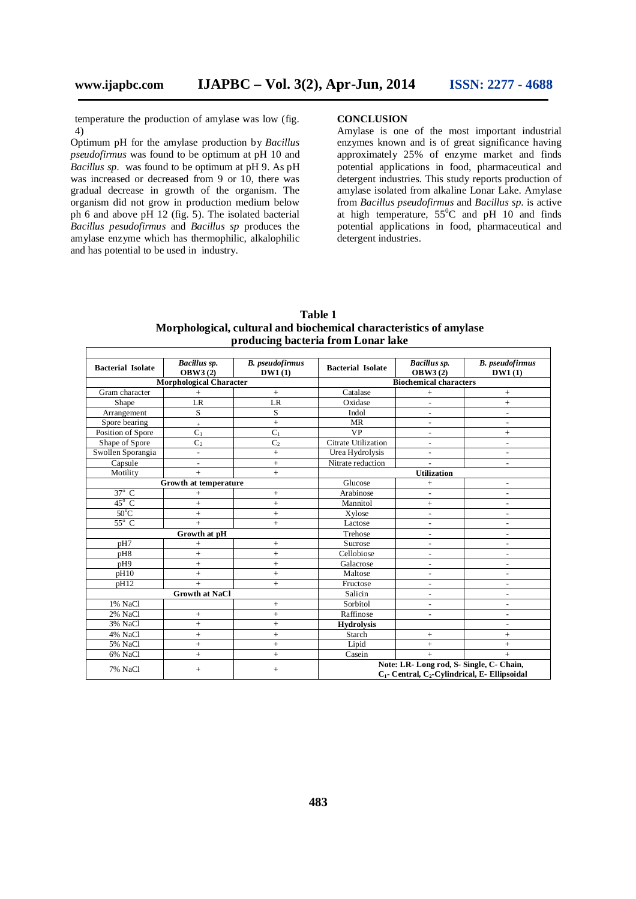temperature the production of amylase was low (fig. 4)

Optimum pH for the amylase production by *Bacillus pseudofirmus* was found to be optimum at pH 10 and *Bacillus sp.* was found to be optimum at pH 9. As pH was increased or decreased from 9 or 10, there was gradual decrease in growth of the organism. The organism did not grow in production medium below ph 6 and above pH 12 (fig. 5). The isolated bacterial *Bacillus pesudofirmus* and *Bacillus sp* produces the amylase enzyme which has thermophilic, alkalophilic and has potential to be used in industry.

### **CONCLUSION**

Amylase is one of the most important industrial enzymes known and is of great significance having approximately 25% of enzyme market and finds potential applications in food, pharmaceutical and detergent industries. This study reports production of amylase isolated from alkaline Lonar Lake. Amylase from *Bacillus pseudofirmus* and *Bacillus sp.* is active at high temperature,  $55^{\circ}$ C and pH 10 and finds potential applications in food, pharmaceutical and detergent industries.

| <b>Table 1</b>                                                     |
|--------------------------------------------------------------------|
| Morphological, cultural and biochemical characteristics of amylase |
| producing bacteria from Lonar lake                                 |

|                                | Bacillus sp.<br><b>B.</b> pseudofirmus |                   |                                                                                                 | Bacillus sp.             | <b>B.</b> pseudofirmus   |
|--------------------------------|----------------------------------------|-------------------|-------------------------------------------------------------------------------------------------|--------------------------|--------------------------|
| <b>Bacterial Isolate</b>       | <b>OBW3(2)</b>                         | DW1(1)            | <b>Bacterial Isolate</b>                                                                        | <b>OBW3(2)</b>           | DW1(1)                   |
| <b>Morphological Character</b> |                                        |                   | <b>Biochemical characters</b>                                                                   |                          |                          |
| Gram character                 | $^{+}$                                 | $\! +$            | Catalase                                                                                        | $^{+}$                   | $^{+}$                   |
| Shape                          | LR                                     | LR                | Oxidase                                                                                         | $\overline{a}$           | $^{+}$                   |
| Arrangement                    | S                                      | S                 | Indol                                                                                           |                          | $\overline{a}$           |
| Spore bearing                  | $\ddot{}$                              | $^{+}$            | <b>MR</b>                                                                                       | $\overline{a}$           | $\overline{a}$           |
| Position of Spore              | $C_1$                                  | $C_1$             | <b>VP</b>                                                                                       | $\overline{\phantom{a}}$ | $^{+}$                   |
| Shape of Spore                 | C <sub>2</sub>                         | C <sub>2</sub>    | Citrate Utilization                                                                             | $\overline{a}$           | $\overline{a}$           |
| Swollen Sporangia              | $\overline{a}$                         | $^{+}$            | Urea Hydrolysis                                                                                 | $\overline{a}$           |                          |
| Capsule                        |                                        | $\ddot{+}$        | Nitrate reduction                                                                               |                          |                          |
| Motility                       | $^{+}$                                 | $^{+}$            | <b>Utilization</b>                                                                              |                          |                          |
| Growth at temperature          |                                        |                   | Glucose                                                                                         | $^{+}$                   | ÷                        |
| $37^\circ$ C                   | $\ddot{}$                              | $\qquad \qquad +$ | Arabinose                                                                                       | $\overline{a}$           |                          |
| $45^{\circ}$ C                 | $^{+}$                                 | $^{+}$            | Mannitol                                                                                        | $\! +$                   | $\overline{\phantom{a}}$ |
| $50^{\circ}$ C                 | $\ddot{}$                              | $^{+}$            | Xylose                                                                                          | $\overline{a}$           | $\overline{\phantom{a}}$ |
| $55^{\circ}$ C                 | $\ddot{}$                              | $^{+}$            | Lactose                                                                                         | $\overline{a}$           |                          |
| Growth at pH                   |                                        |                   | Trehose                                                                                         | $\overline{a}$           |                          |
| pH7                            | $^{+}$                                 | $^{+}$            | Sucrose                                                                                         | $\overline{a}$           | $\overline{a}$           |
| pH8                            | $^{+}$                                 | $^{+}$            | Cellobiose                                                                                      | $\overline{a}$           | $\overline{\phantom{a}}$ |
| pH9                            | $^{+}$                                 | $\ddot{}$         | Galacrose                                                                                       | $\overline{\phantom{a}}$ | $\overline{\phantom{a}}$ |
| pH10                           | $^{+}$                                 | $^{+}$            | Maltose                                                                                         | $\overline{a}$           | $\overline{a}$           |
| pH12                           | $\ddot{}$                              | $^{+}$            | Fructose                                                                                        | $\overline{a}$           | ۰                        |
| <b>Growth at NaCl</b>          |                                        |                   | Salicin                                                                                         | $\overline{a}$           |                          |
| 1% NaCl                        |                                        | $\qquad \qquad +$ | Sorbitol                                                                                        | $\overline{a}$           | $\overline{a}$           |
| 2% NaCl                        | $^{+}$                                 | $^{+}$            | Raffinose                                                                                       |                          |                          |
| 3% NaCl                        | $^{+}$                                 | $^{+}$            | <b>Hydrolysis</b>                                                                               |                          |                          |
| 4% NaCl                        | $^{+}$                                 | $^{+}$            | Starch                                                                                          | $\qquad \qquad +$        | $^{+}$                   |
| 5% NaCl                        | $\ddot{}$                              | $\ddot{}$         | Lipid                                                                                           | $\ddot{}$                | $^{+}$                   |
| 6% NaCl                        | $\ddot{}$                              | $\ddot{+}$        | Casein                                                                                          | $+$                      | $+$                      |
| 7% NaCl                        | $+$                                    | $^{+}$            | Note: LR- Long rod, S- Single, C- Chain,<br>$C_1$ - Central, $C_2$ -Cylindrical, E- Ellipsoidal |                          |                          |
|                                |                                        |                   |                                                                                                 |                          |                          |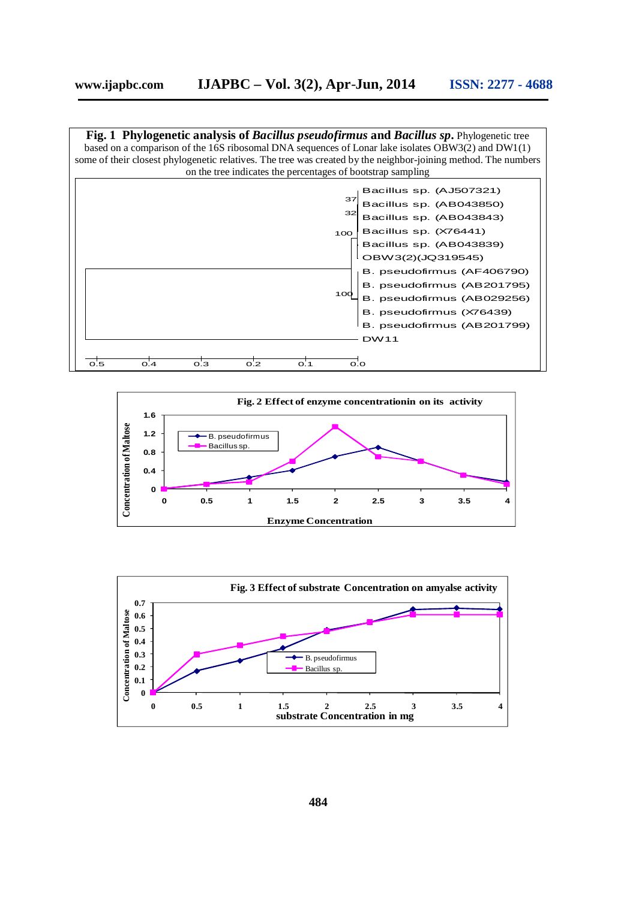

![](_page_3_Figure_2.jpeg)

![](_page_3_Figure_3.jpeg)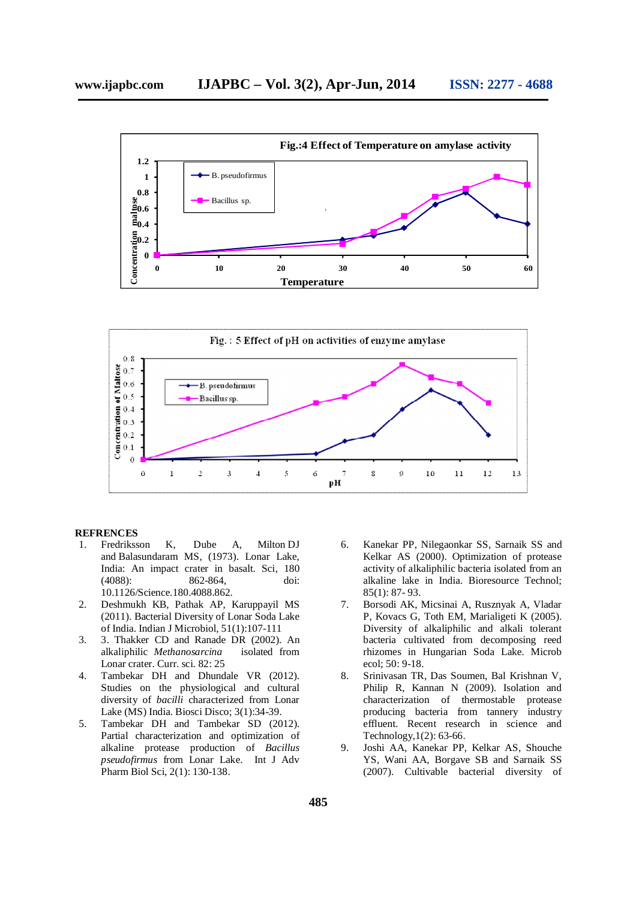![](_page_4_Figure_1.jpeg)

![](_page_4_Figure_2.jpeg)

#### **REFRENCES**

- 1. Fredriksson K, Dube A, Milton DJ and Balasundaram MS, (1973). Lonar Lake, India: An impact crater in basalt. Sci, 180 (4088): 862-864, doi: 10.1126/Science.180.4088.862.
- 2. Deshmukh KB, Pathak AP, Karuppayil MS (2011). Bacterial Diversity of Lonar Soda Lake of India. Indian J Microbiol*,* 51(1):107-111
- 3. 3. Thakker CD and Ranade DR (2002). An alkaliphilic *Methanosarcina* isolated from Lonar crater. Curr. sci. 82: 25
- 4. Tambekar DH and Dhundale VR (2012). Studies on the physiological and cultural diversity of *bacilli* characterized from Lonar Lake (MS) India. Biosci Disco; 3(1):34-39.
- 5. Tambekar DH and Tambekar SD (2012). Partial characterization and optimization of alkaline protease production of *Bacillus pseudofirmus* from Lonar Lake. Int J Adv Pharm Biol Sci, 2(1): 130-138.
- 6. Kanekar PP, Nilegaonkar SS, Sarnaik SS and Kelkar AS (2000). Optimization of protease activity of alkaliphilic bacteria isolated from an alkaline lake in India. Bioresource Technol; 85(1): 87- 93.
- 7. Borsodi AK, Micsinai A, Rusznyak A, Vladar P, Kovacs G, Toth EM, Marialigeti K (2005). Diversity of alkaliphilic and alkali tolerant bacteria cultivated from decomposing reed rhizomes in Hungarian Soda Lake. Microb ecol; 50: 9-18.
- 8. Srinivasan TR, Das Soumen, Bal Krishnan V, Philip R, Kannan N (2009). Isolation and characterization of thermostable protease producing bacteria from tannery industry effluent. Recent research in science and Technology,1(2): 63-66.
- 9. Joshi AA, Kanekar PP, Kelkar AS, Shouche YS, Wani AA, Borgave SB and Sarnaik SS (2007). Cultivable bacterial diversity of